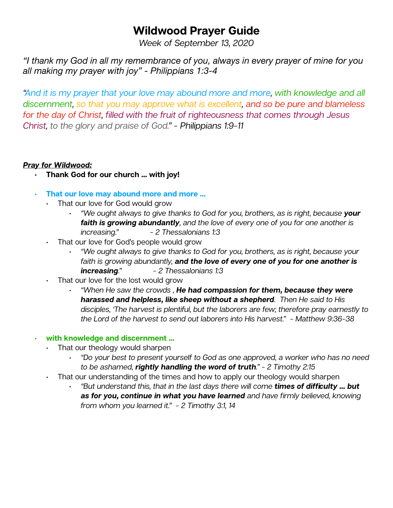# **Wildwood Prayer Guide**

*Week of September 13, 2020* 

*"I thank my God in all my remembrance of you, always in every prayer of mine for you all making my prayer with joy" - Philippians 1:3-4* 

*"And it is my prayer that your love may abound more and more, with knowledge and all discernment, so that you may approve what is excellent, and so be pure and blameless for the day of Christ, filled with the fruit of righteousness that comes through Jesus Christ, to the glory and praise of God." - Philippians 1:9-11* 

## *Pray for Wildwood:*

- **• Thank God for our church … with joy!**
- **• That our love may abound more and more …** 
	- That our love for God would grow
		- *• "We ought always to give thanks to God for you, brothers, as is right, because your faith is growing abundantly, and the love of every one of you for one another is increasing." - 2 Thessalonians 1:3*
	- That our love for God's people would grow
		- *• "We ought always to give thanks to God for you, brothers, as is right, because your faith is growing abundantly, and the love of every one of you for one another is increasing." - 2 Thessalonians 1:3*
	- That our love for the lost would grow
		- *• "When He saw the crowds , He had compassion for them, because they were harassed and helpless, like sheep without a shepherd. Then He said to His disciples, 'The harvest is plentiful, but the laborers are few; therefore pray earnestly to the Lord of the harvest to send out laborers into His harvest." - Matthew 9:36-38*

# **• with knowledge and discernment …**

- That our theology would sharpen
	- *• "Do your best to present yourself to God as one approved, a worker who has no need to be ashamed, rightly handling the word of truth." - 2 Timothy 2:15*
- That our understanding of the times and how to apply our theology would sharpen
	- *• "But understand this, that in the last days there will come times of difficulty … but as for you, continue in what you have learned and have firmly believed, knowing from whom you learned it." - 2 Timothy 3:1, 14*